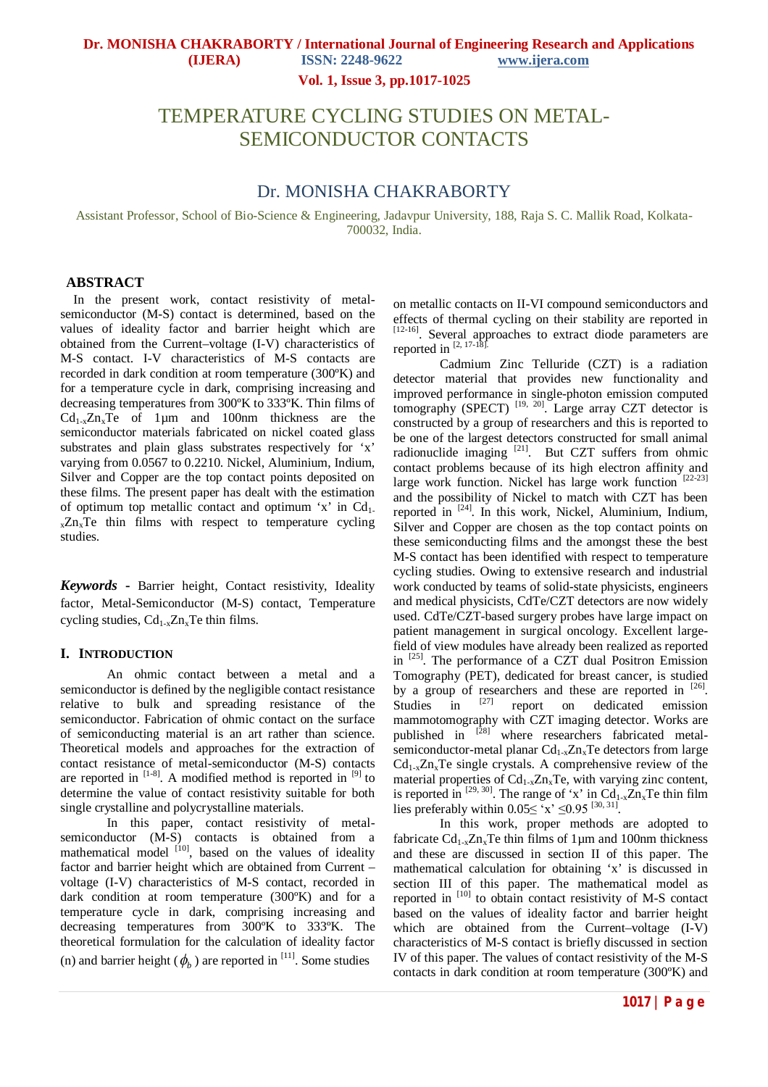**Vol. 1, Issue 3, pp.1017-1025**

# TEMPERATURE CYCLING STUDIES ON METAL-SEMICONDUCTOR CONTACTS

## Dr. MONISHA CHAKRABORTY

Assistant Professor, School of Bio-Science & Engineering, Jadavpur University, 188, Raja S. C. Mallik Road, Kolkata-700032, India.

## **ABSTRACT**

In the present work, contact resistivity of metalsemiconductor (M-S) contact is determined, based on the values of ideality factor and barrier height which are obtained from the Current–voltage (I-V) characteristics of M-S contact. I-V characteristics of M-S contacts are recorded in dark condition at room temperature (300ºK) and for a temperature cycle in dark, comprising increasing and decreasing temperatures from 300ºK to 333ºK. Thin films of  $Cd_{1-x}Z_{n-x}Te$  of 1um and 100nm thickness are the semiconductor materials fabricated on nickel coated glass substrates and plain glass substrates respectively for 'x' varying from 0.0567 to 0.2210. Nickel, Aluminium, Indium, Silver and Copper are the top contact points deposited on these films. The present paper has dealt with the estimation of optimum top metallic contact and optimum 'x' in  $Cd<sub>1</sub>$ .  $xZn_xTe$  thin films with respect to temperature cycling studies.

*Keywords* **-** Barrier height, Contact resistivity, Ideality factor, Metal-Semiconductor (M-S) contact, Temperature cycling studies,  $Cd_{1-x}Zn_xTe$  thin films.

## **I. INTRODUCTION**

An ohmic contact between a metal and a semiconductor is defined by the negligible contact resistance relative to bulk and spreading resistance of the semiconductor. Fabrication of ohmic contact on the surface of semiconducting material is an art rather than science. Theoretical models and approaches for the extraction of contact resistance of metal-semiconductor (M-S) contacts are reported in  $[1-8]$ . A modified method is reported in  $[9]$  to determine the value of contact resistivity suitable for both single crystalline and polycrystalline materials.

In this paper, contact resistivity of metalsemiconductor (M-S) contacts is obtained from a mathematical model  $[10]$ , based on the values of ideality factor and barrier height which are obtained from Current – voltage (I-V) characteristics of M-S contact, recorded in dark condition at room temperature (300ºK) and for a temperature cycle in dark, comprising increasing and decreasing temperatures from 300ºK to 333ºK. The theoretical formulation for the calculation of ideality factor (n) and barrier height ( $\phi$ <sub>b</sub>) are reported in <sup>[11]</sup>. Some studies

on metallic contacts on II-VI compound semiconductors and effects of thermal cycling on their stability are reported in [12-16]. Several approaches to extract diode parameters are reported in  $^{[2, 17-18]}$ .

Cadmium Zinc Telluride (CZT) is a radiation detector material that provides new functionality and improved performance in single-photon emission computed tomography (SPECT)  $^{[19, 20]}$ . Large array CZT detector is constructed by a group of researchers and this is reported to be one of the largest detectors constructed for small animal radionuclide imaging <sup>[21]</sup>. But CZT suffers from ohmic contact problems because of its high electron affinity and large work function. Nickel has large work function  $[22-23]$ and the possibility of Nickel to match with CZT has been reported in [24]. In this work, Nickel, Aluminium, Indium, Silver and Copper are chosen as the top contact points on these semiconducting films and the amongst these the best M-S contact has been identified with respect to temperature cycling studies. Owing to extensive research and industrial work conducted by teams of solid-state physicists, engineers and medical physicists, CdTe/CZT detectors are now widely used. CdTe/CZT-based surgery probes have large impact on patient management in surgical oncology. Excellent largefield of view modules have already been realized as reported in  $^{[25]}$ . The performance of a CZT dual Positron Emission Tomography (PET), dedicated for breast cancer, is studied by a group of researchers and these are reported in  $[26]$ . Studies in  $^{[27]}$  report on dedicated emission mammotomography with CZT imaging detector. Works are published in  $\left[28\right]$  where researchers fabricated metalsemiconductor-metal planar  $Cd_{1-x}Zn_xTe$  detectors from large  $Cd_{1-x}Z_{n-x}Te$  single crystals. A comprehensive review of the material properties of  $Cd_{1-x}Zn_xTe$ , with varying zinc content, is reported in  $^{[29, 30]}$ . The range of 'x' in Cd<sub>1-x</sub>Zn<sub>x</sub>Te thin film lies preferably within  $0.05 \leq x \leq 0.95$  [30, 31].

In this work, proper methods are adopted to fabricate  $Cd_{1-x}Zn_xTe$  thin films of 1µm and 100nm thickness and these are discussed in section II of this paper. The mathematical calculation for obtaining 'x' is discussed in section III of this paper. The mathematical model as reported in [10] to obtain contact resistivity of M-S contact based on the values of ideality factor and barrier height which are obtained from the Current–voltage (I-V) characteristics of M-S contact is briefly discussed in section IV of this paper. The values of contact resistivity of the M-S contacts in dark condition at room temperature (300ºK) and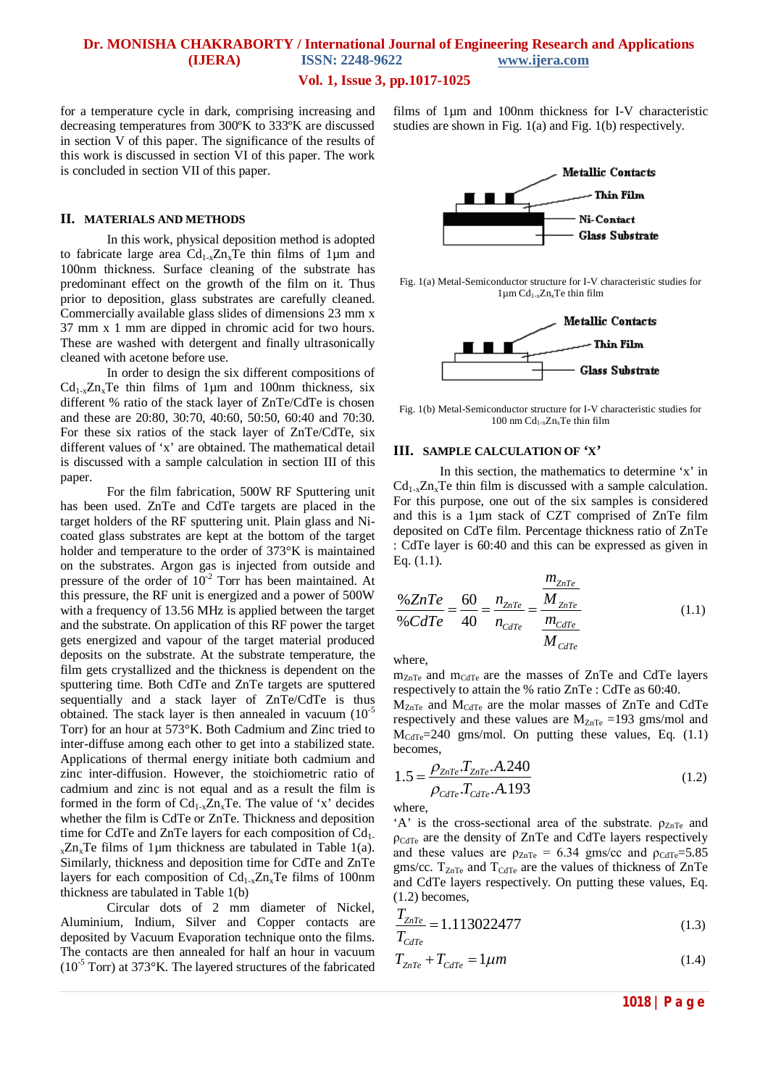## **Vol. 1, Issue 3, pp.1017-1025**

for a temperature cycle in dark, comprising increasing and decreasing temperatures from 300ºK to 333ºK are discussed in section V of this paper. The significance of the results of this work is discussed in section VI of this paper. The work is concluded in section VII of this paper.

### **II. MATERIALS AND METHODS**

In this work, physical deposition method is adopted to fabricate large area  $Cd_{1-x}Zn_xTe$  thin films of 1µm and 100nm thickness. Surface cleaning of the substrate has predominant effect on the growth of the film on it. Thus prior to deposition, glass substrates are carefully cleaned. Commercially available glass slides of dimensions 23 mm x 37 mm x 1 mm are dipped in chromic acid for two hours. These are washed with detergent and finally ultrasonically cleaned with acetone before use.

 In order to design the six different compositions of  $Cd_{1-x}Zn_xTe$  thin films of 1µm and 100nm thickness, six different % ratio of the stack layer of ZnTe/CdTe is chosen and these are 20:80, 30:70, 40:60, 50:50, 60:40 and 70:30. For these six ratios of the stack layer of ZnTe/CdTe, six different values of 'x' are obtained. The mathematical detail is discussed with a sample calculation in section III of this paper.

For the film fabrication, 500W RF Sputtering unit has been used. ZnTe and CdTe targets are placed in the target holders of the RF sputtering unit. Plain glass and Nicoated glass substrates are kept at the bottom of the target holder and temperature to the order of 373°K is maintained on the substrates. Argon gas is injected from outside and pressure of the order of  $10^{-2}$  Torr has been maintained. At this pressure, the RF unit is energized and a power of 500W with a frequency of 13.56 MHz is applied between the target and the substrate. On application of this RF power the target gets energized and vapour of the target material produced deposits on the substrate. At the substrate temperature, the film gets crystallized and the thickness is dependent on the sputtering time. Both CdTe and ZnTe targets are sputtered sequentially and a stack layer of ZnTe/CdTe is thus obtained. The stack layer is then annealed in vacuum  $(10^{-5})$ Torr) for an hour at 573°K. Both Cadmium and Zinc tried to inter-diffuse among each other to get into a stabilized state. Applications of thermal energy initiate both cadmium and zinc inter-diffusion. However, the stoichiometric ratio of cadmium and zinc is not equal and as a result the film is formed in the form of  $Cd_{1-x}Zn_xTe$ . The value of 'x' decides whether the film is CdTe or ZnTe. Thickness and deposition time for CdTe and ZnTe layers for each composition of  $Cd<sub>1</sub>$ .  $x \, Zn_x \, T$ e films of 1µm thickness are tabulated in Table 1(a). Similarly, thickness and deposition time for CdTe and ZnTe layers for each composition of  $Cd_{1-x}Zn_xTe$  films of 100nm thickness are tabulated in Table 1(b)

Circular dots of 2 mm diameter of Nickel, Aluminium, Indium, Silver and Copper contacts are deposited by Vacuum Evaporation technique onto the films. The contacts are then annealed for half an hour in vacuum  $(10^{-5}$  Torr) at 373 $\mathrm{K}$ . The layered structures of the fabricated films of 1µm and 100nm thickness for I-V characteristic studies are shown in Fig. 1(a) and Fig. 1(b) respectively.



Fig. 1(a) Metal-Semiconductor structure for I-V characteristic studies for  $1\mu$ m Cd<sub>1-x</sub>Zn<sub>x</sub>Te thin film



Fig. 1(b) Metal-Semiconductor structure for I-V characteristic studies for 100 nm  $Cd_{1-x}Zn_xTe$  thin film

#### **III. SAMPLE CALCULATION OF 'X'**

In this section, the mathematics to determine 'x' in  $Cd_{1-x}Zn_xTe$  thin film is discussed with a sample calculation. For this purpose, one out of the six samples is considered and this is a 1µm stack of CZT comprised of ZnTe film deposited on CdTe film. Percentage thickness ratio of ZnTe : CdTe layer is 60:40 and this can be expressed as given in Eq. (1.1).

$$
\frac{\% ZnTe}{\% CdTe} = \frac{60}{40} = \frac{n_{ZnTe}}{n_{CdTe}} = \frac{\frac{m_{ZnTe}}{M_{ZnTe}}}{\frac{m_{CdTe}}{M_{CdTe}}} \tag{1.1}
$$

where,

 $m_{ZnTe}$  and  $m_{CdTe}$  are the masses of  $ZnTe$  and CdTe layers respectively to attain the % ratio ZnTe : CdTe as 60:40.

 $M_{ZnTe}$  and  $M_{CdTe}$  are the molar masses of ZnTe and CdTe respectively and these values are  $M_{ZnTe} = 193$  gms/mol and  $M_{\text{CdTe}} = 240$  gms/mol. On putting these values, Eq. (1.1) becomes,

$$
1.5 = \frac{\rho_{ZnTe} \cdot T_{ZnTe} \cdot A.240}{\rho_{CdTe} \cdot T_{CdTe} \cdot A.193}
$$
(1.2)

where,

'A' is the cross-sectional area of the substrate.  $\rho_{ZnTe}$  and ρCdTe are the density of ZnTe and CdTe layers respectively and these values are  $\rho_{ZnTe} = 6.34$  gms/cc and  $\rho_{CdTe} = 5.85$ gms/cc.  $T_{ZnTe}$  and  $T_{CdTe}$  are the values of thickness of  $ZnTe$ and CdTe layers respectively. On putting these values, Eq. (1.2) becomes,

$$
\frac{T_{ZnTe}}{T_{CdTe}} = 1.113022477\tag{1.3}
$$

$$
T_{ZnTe} + T_{CdTe} = 1 \mu m \tag{1.4}
$$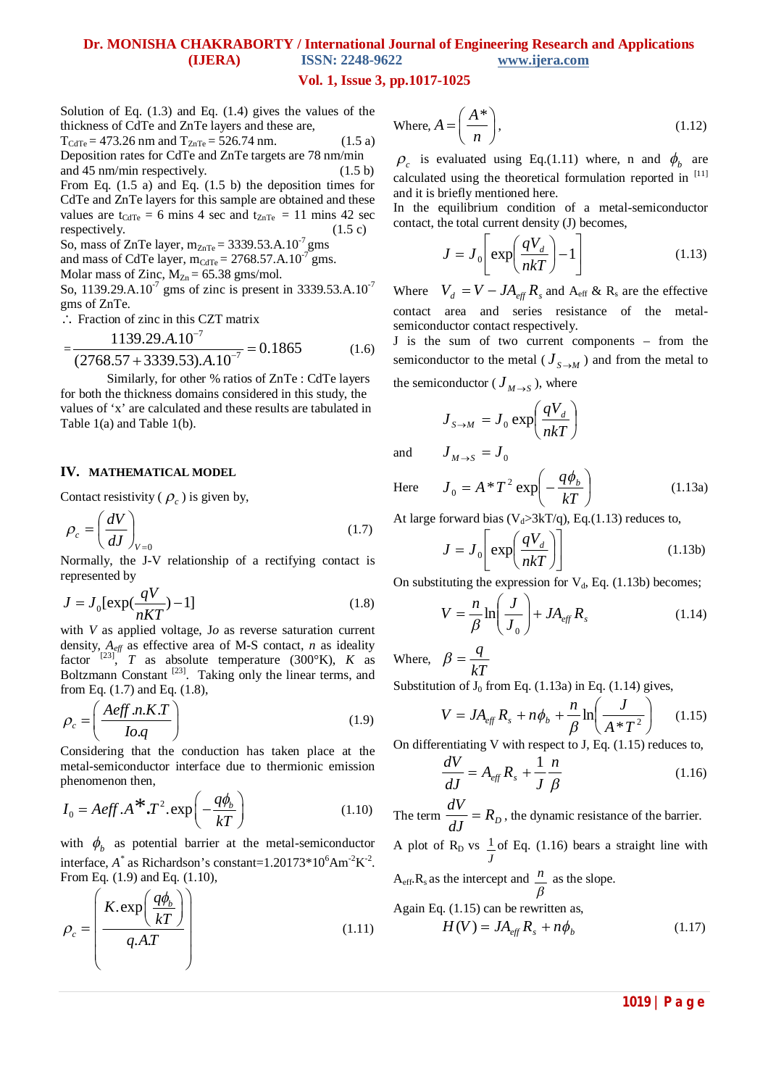### **Vol. 1, Issue 3, pp.1017-1025**

Solution of Eq. (1.3) and Eq. (1.4) gives the values of the thickness of CdTe and ZnTe layers and these are,

 $T_{\text{CdTe}} = 473.26 \text{ nm}$  and  $T_{\text{ZnTe}} = 526.74 \text{ nm}.$  (1.5 a) Deposition rates for CdTe and ZnTe targets are 78 nm/min and 45 nm/min respectively. (1.5 b) From Eq. (1.5 a) and Eq. (1.5 b) the deposition times for

CdTe and ZnTe layers for this sample are obtained and these values are t<sub>CdTe</sub> = 6 mins 4 sec and t<sub>ZnTe</sub> = 11 mins 42 sec respectively. (1.5 c)

So, mass of ZnTe layer,  $m_{ZnTe} = 3339.53.A.10^{-7}$  gms

and mass of CdTe layer,  $m_{\text{CdTe}} = 2768.57$ .A.10<sup>-7</sup> gms.

Molar mass of Zinc,  $M_{Zn} = 65.38$  gms/mol.

So, 1139.29.A.10<sup>-7</sup> gms of zinc is present in 3339.53.A.10<sup>-7</sup> gms of ZnTe.

: Fraction of zinc in this CZT matrix.

 $-$ 

$$
\frac{1139.29.A.10^{-7}}{(2768.57 + 3339.53).A.10^{-7}} = 0.1865
$$
 (1.6)

Similarly, for other % ratios of ZnTe : CdTe layers for both the thickness domains considered in this study, the values of 'x' are calculated and these results are tabulated in Table 1(a) and Table 1(b).

### **IV. MATHEMATICAL MODEL**

Contact resistivity ( $\rho_c$ ) is given by,

$$
\rho_c = \left(\frac{dV}{dJ}\right)_{V=0} \tag{1.7}
$$

Normally, the J-V relationship of a rectifying contact is represented by

$$
J = J_0 \left[ \exp(\frac{qV}{nKT}) - 1 \right] \tag{1.8}
$$

with *V* as applied voltage, J*o* as reverse saturation current density,  $A_{\text{eff}}$  as effective area of M-S contact, *n* as ideality factor  $[23]$ , *T* as absolute temperature (300°K), *K* as Boltzmann Constant<sup>[23]</sup>. Taking only the linear terms, and from Eq. (1.7) and Eq. (1.8),

$$
\rho_c = \left(\frac{A\text{eff} \ n.K.T}{I o.q}\right) \tag{1.9}
$$

Considering that the conduction has taken place at the metal-semiconductor interface due to thermionic emission phenomenon then,

$$
I_0 = Aeff.A^* \cdot T^2 \cdot \exp\left(-\frac{q\phi_b}{kT}\right) \tag{1.10}
$$

with  $\phi_b$  as potential barrier at the metal-semiconductor interface,  $A^*$  as Richardson's constant=1.20173\*10<sup>6</sup>Am<sup>-2</sup>K<sup>-2</sup>. From Eq. (1.9) and Eq. (1.10),

$$
\rho_c = \left(\frac{K.\exp\left(\frac{q\phi_b}{kT}\right)}{q.A.T}\right) \tag{1.11}
$$

Where, 
$$
A = \left(\frac{A^*}{n}\right)
$$
, (1.12)

 $\rho_c$  is evaluated using Eq.(1.11) where, n and  $\phi_b$  are calculated using the theoretical formulation reported in [11] and it is briefly mentioned here.

In the equilibrium condition of a metal-semiconductor contact, the total current density (J) becomes,

$$
J = J_0 \left[ \exp\left(\frac{qV_d}{nkT}\right) - 1 \right] \tag{1.13}
$$

Where  $V_d = V - JA_{\text{eff}} R_s$  and  $A_{\text{eff}} \& R_s$  are the effective contact area and series resistance of the metalsemiconductor contact respectively.

J is the sum of two current components – from the semiconductor to the metal ( $J_{S \to M}$ ) and from the metal to the semiconductor (  $J_{M\rightarrow S}$  ), where

$$
J_{S \to M} = J_0 \exp\left(\frac{qV_d}{nkT}\right)
$$

and  $J_{M \to S} = J_0$ 

Here 
$$
J_0 = A * T^2 \exp\left(-\frac{q\phi_b}{kT}\right)
$$
 (1.13a)

At large forward bias ( $V<sub>d</sub> > 3kT/q$ ), Eq.(1.13) reduces to,

$$
J = J_0 \left[ \exp\left(\frac{qV_d}{nkT}\right) \right]
$$
 (1.13b)

On substituting the expression for  $V_d$ , Eq. (1.13b) becomes;

$$
V = -\frac{n}{\beta} \ln \left( \frac{J}{J_0} \right) + J A_{\text{eff}} R_s \tag{1.14}
$$

Where,  $\beta = \frac{1}{kT}$  $\beta = \frac{q}{l}$ 

Substitution of  $J_0$  from Eq. (1.13a) in Eq. (1.14) gives,

$$
V = JA_{\text{eff}}R_s + n\phi_b + \frac{n}{\beta} \ln\left(\frac{J}{A*T^2}\right) \quad (1.15)
$$

On differentiating V with respect to J, Eq. (1.15) reduces to,

$$
\frac{dV}{dJ} = A_{\text{eff}} R_s + \frac{1}{J} \frac{n}{\beta} \tag{1.16}
$$

The term  $\frac{dV}{dJ} = R_D$  $\frac{dV}{dt} = R_p$ , the dynamic resistance of the barrier. A plot of  $R_D$  vs *J*  $\frac{1}{2}$  of Eq. (1.16) bears a straight line with  $A<sub>eff</sub>$ ,  $R<sub>s</sub>$  as the intercept and β  $\frac{n}{n}$  as the slope.

Again Eq. (1.15) can be rewritten as,  
\n
$$
H(V) = JA_{eff} R_s + n\phi_b
$$
\n(1.17)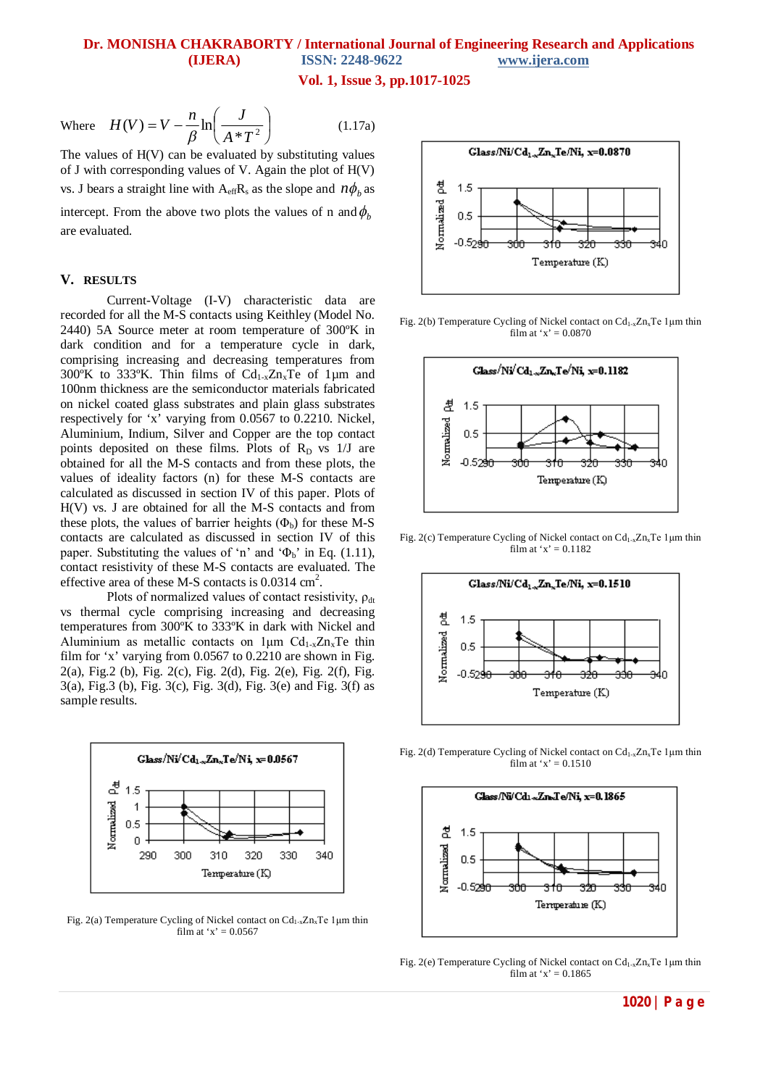**Vol. 1, Issue 3, pp.1017-1025**

Where 
$$
H(V) = V - \frac{n}{\beta} \ln \left( \frac{J}{A^*T^2} \right)
$$
 (1.17a)

The values of  $H(V)$  can be evaluated by substituting values of J with corresponding values of V. Again the plot of H(V) vs. J bears a straight line with  $A_{\text{eff}}R_s$  as the slope and  $n\phi_b$  as intercept. From the above two plots the values of n and  $\phi_h$ are evaluated.

### **V. RESULTS**

Current-Voltage (I-V) characteristic data are recorded for all the M-S contacts using Keithley (Model No. 2440) 5A Source meter at room temperature of 300ºK in dark condition and for a temperature cycle in dark, comprising increasing and decreasing temperatures from 300°K to 333°K. Thin films of  $Cd<sub>1-x</sub>Zn<sub>x</sub>Te$  of 1µm and 100nm thickness are the semiconductor materials fabricated on nickel coated glass substrates and plain glass substrates respectively for 'x' varying from 0.0567 to 0.2210. Nickel, Aluminium, Indium, Silver and Copper are the top contact points deposited on these films. Plots of  $R_D$  vs  $1/J$  are obtained for all the M-S contacts and from these plots, the values of ideality factors (n) for these M-S contacts are calculated as discussed in section IV of this paper. Plots of H(V) vs. J are obtained for all the M-S contacts and from these plots, the values of barrier heights  $(\Phi_b)$  for these M-S contacts are calculated as discussed in section IV of this paper. Substituting the values of 'n' and ' $\Phi_b$ ' in Eq. (1.11), contact resistivity of these M-S contacts are evaluated. The effective area of these M-S contacts is  $0.0314 \text{ cm}^2$ .

Plots of normalized values of contact resistivity,  $\rho_{dt}$ vs thermal cycle comprising increasing and decreasing temperatures from 300ºK to 333ºK in dark with Nickel and Aluminium as metallic contacts on  $1 \mu m$  Cd<sub>1-x</sub>Zn<sub>x</sub>Te thin film for 'x' varying from 0.0567 to 0.2210 are shown in Fig. 2(a), Fig.2 (b), Fig. 2(c), Fig. 2(d), Fig. 2(e), Fig. 2(f), Fig. 3(a), Fig.3 (b), Fig. 3(c), Fig. 3(d), Fig. 3(e) and Fig. 3(f) as sample results.



Fig. 2(a) Temperature Cycling of Nickel contact on  $Cd_{1-x}Zn_xTe$  1µm thin film at 'x' =  $0.0567$ 



Fig. 2(b) Temperature Cycling of Nickel contact on  $Cd_{1-x}Zn_xTe$  1 µm thin film at 'x' =  $0.0870$ 



Fig. 2(c) Temperature Cycling of Nickel contact on  $Cd<sub>1-x</sub>Zn<sub>x</sub>Te$  1 µm thin film at  $x' = 0.1182$ 



Fig. 2(d) Temperature Cycling of Nickel contact on  $Cd_{1-x}Zn_xTe$  1 µm thin film at 'x' =  $0.1510$ 



Fig. 2(e) Temperature Cycling of Nickel contact on  $Cd<sub>1-x</sub>Zn<sub>x</sub>Te$  1 µm thin film at 'x' =  $0.1865$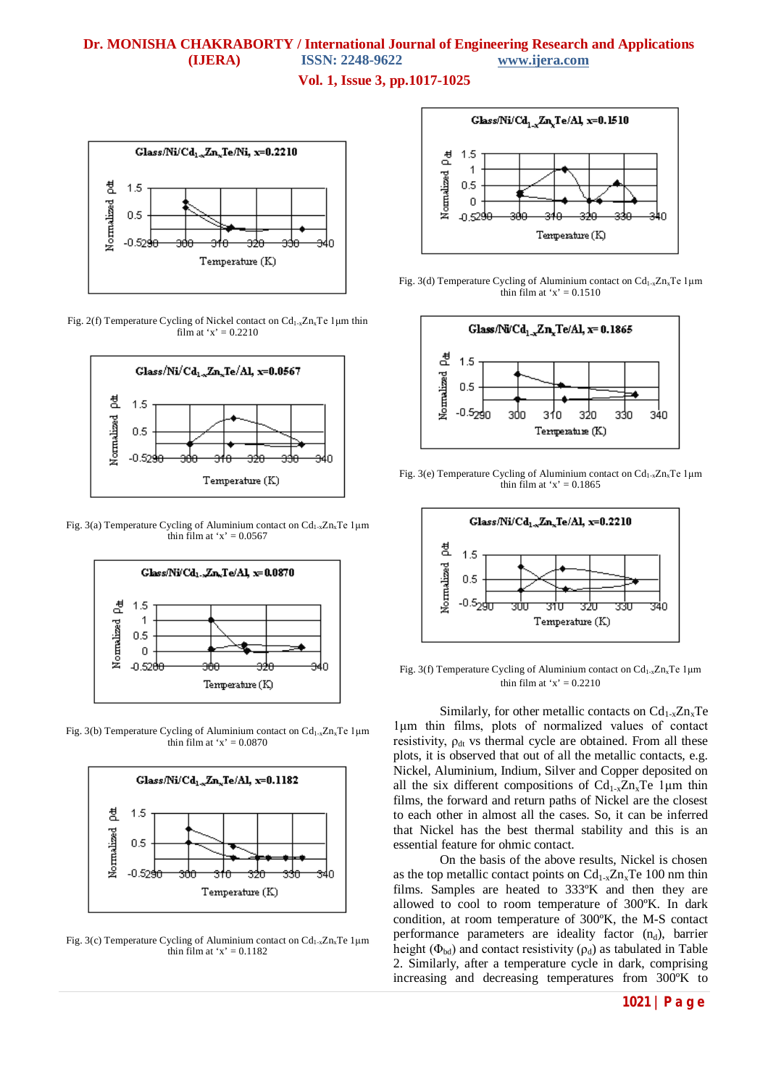**Vol. 1, Issue 3, pp.1017-1025**



Fig. 2(f) Temperature Cycling of Nickel contact on Cd1-xZnxTe 1μm thin film at 'x' =  $0.2210$ 



Fig. 3(a) Temperature Cycling of Aluminium contact on  $Cd<sub>1-x</sub>Zn<sub>x</sub>Te1\mu m$ thin film at ' $x$ ' = 0.0567



Fig. 3(b) Temperature Cycling of Aluminium contact on  $Cd_{1-x}Zn_xTe$  1µm thin film at ' $x' = 0.0870$ 



Fig. 3(c) Temperature Cycling of Aluminium contact on  $Cd_{1-x}Zn_xTe$  1µm thin film at ' $x$ ' = 0.1182



Fig. 3(d) Temperature Cycling of Aluminium contact on  $Cd_{1-x}Zn_xTe1\mu m$ thin film at ' $x' = 0.1510$ 



Fig. 3(e) Temperature Cycling of Aluminium contact on  $Cd_{1-x}Zn_xTe$  1µm thin film at ' $x$ ' = 0.1865



Fig. 3(f) Temperature Cycling of Aluminium contact on Cd1-xZnxTe 1μm thin film at ' $x$ ' = 0.2210

Similarly, for other metallic contacts on  $Cd_{1-x}Zn_xTe$ 1μm thin films, plots of normalized values of contact resistivity,  $\rho_{dt}$  vs thermal cycle are obtained. From all these plots, it is observed that out of all the metallic contacts, e.g. Nickel, Aluminium, Indium, Silver and Copper deposited on all the six different compositions of  $Cd_{1-x}Zn_xTe$  1 µm thin films, the forward and return paths of Nickel are the closest to each other in almost all the cases. So, it can be inferred that Nickel has the best thermal stability and this is an essential feature for ohmic contact.

On the basis of the above results, Nickel is chosen as the top metallic contact points on  $Cd_{1-x}Zn_xTe$  100 nm thin films. Samples are heated to 333ºK and then they are allowed to cool to room temperature of 300ºK. In dark condition, at room temperature of 300ºK, the M-S contact performance parameters are ideality factor  $(n_d)$ , barrier height ( $\Phi_{bd}$ ) and contact resistivity ( $\rho_d$ ) as tabulated in Table 2. Similarly, after a temperature cycle in dark, comprising increasing and decreasing temperatures from 300ºK to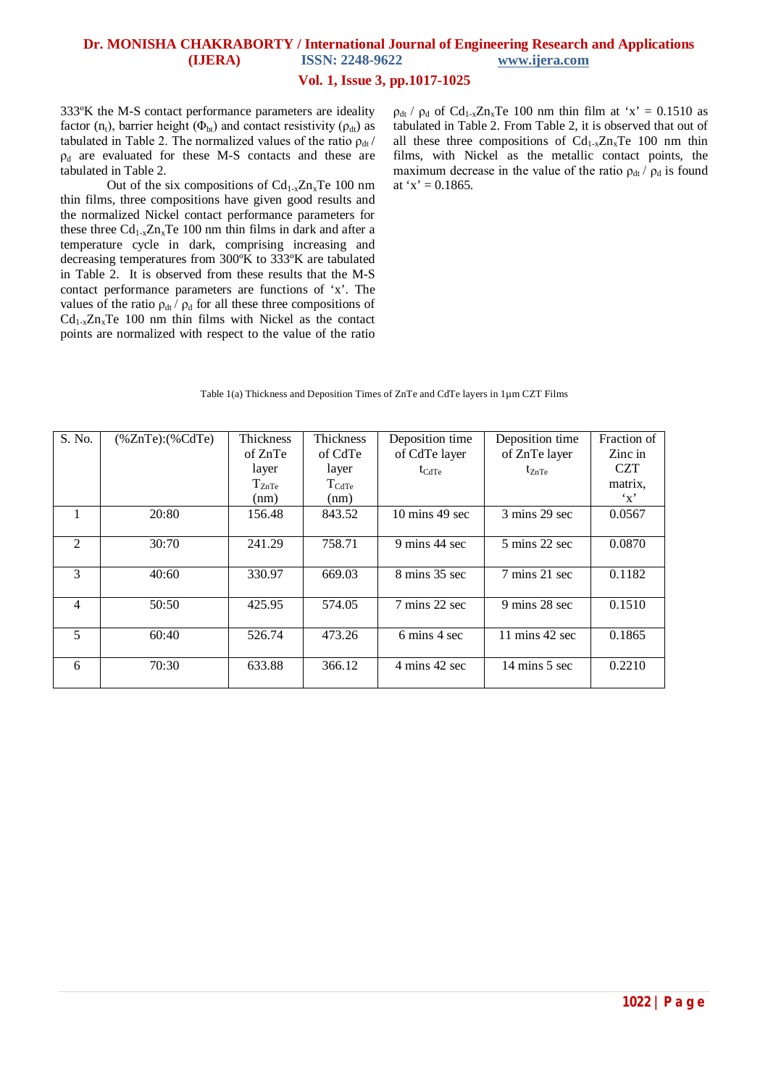## **Vol. 1, Issue 3, pp.1017-1025**

333ºK the M-S contact performance parameters are ideality factor  $(n_t)$ , barrier height  $(\Phi_{bt})$  and contact resistivity  $(\rho_{dt})$  as tabulated in Table 2. The normalized values of the ratio  $\rho_{dt}$  /  $\rho_d$  are evaluated for these M-S contacts and these are tabulated in Table 2.

Out of the six compositions of  $Cd_{1-x}Zn_xTe$  100 nm thin films, three compositions have given good results and the normalized Nickel contact performance parameters for these three  $Cd_{1-x}Zn_xTe$  100 nm thin films in dark and after a temperature cycle in dark, comprising increasing and decreasing temperatures from 300ºK to 333ºK are tabulated in Table 2. It is observed from these results that the M-S contact performance parameters are functions of 'x'. The values of the ratio  $\rho_{dt}/\rho_d$  for all these three compositions of  $Cd_{1-x}Zn_xTe$  100 nm thin films with Nickel as the contact points are normalized with respect to the value of the ratio

 $\rho_{dt}$  /  $\rho_d$  of Cd<sub>1-x</sub>Zn<sub>x</sub>Te 100 nm thin film at 'x' = 0.1510 as tabulated in Table 2. From Table 2, it is observed that out of all these three compositions of  $Cd_{1-x}Zn_xTe$  100 nm thin films, with Nickel as the metallic contact points, the maximum decrease in the value of the ratio  $\rho_{dt}/\rho_d$  is found at 'x' =  $0.1865$ .

#### Table 1(a) Thickness and Deposition Times of ZnTe and CdTe layers in 1µm CZT Films

| S. No.         | $(%$ (%ZnTe): $(%$ $\mathcal{C}$ dTe) | Thickness  | <b>Thickness</b>  | Deposition time                  | Deposition time                   | Fraction of  |
|----------------|---------------------------------------|------------|-------------------|----------------------------------|-----------------------------------|--------------|
|                |                                       | of ZnTe    | of CdTe           | of CdTe layer                    | of ZnTe layer                     | Zinc in      |
|                |                                       | layer      | layer             | $t_{\text{CdTe}}$                | $t_{ZnTe}$                        | <b>CZT</b>   |
|                |                                       | $T_{ZnTe}$ | $T_{\text{CdTe}}$ |                                  |                                   | matrix.      |
|                |                                       | (nm)       | (nm)              |                                  |                                   | $\mathbf{Y}$ |
|                | 20:80                                 | 156.48     | 843.52            | $10 \text{ mins} 49 \text{ sec}$ | $3 \text{ mins}$ 29 sec           | 0.0567       |
| $\mathfrak{D}$ | 30:70                                 | 241.29     | 758.71            | 9 mins 44 sec                    | 5 mins 22 sec                     | 0.0870       |
| 3              | 40:60                                 | 330.97     | 669.03            | 8 mins 35 sec                    | 7 mins 21 sec                     | 0.1182       |
| 4              | 50:50                                 | 425.95     | 574.05            | 7 mins 22 sec                    | 9 mins 28 sec                     | 0.1510       |
| 5              | 60:40                                 | 526.74     | 473.26            | 6 mins 4 sec                     | $11 \text{ mins } 42 \text{ sec}$ | 0.1865       |
| 6              | 70:30                                 | 633.88     | 366.12            | 4 mins 42 sec                    | 14 mins 5 sec                     | 0.2210       |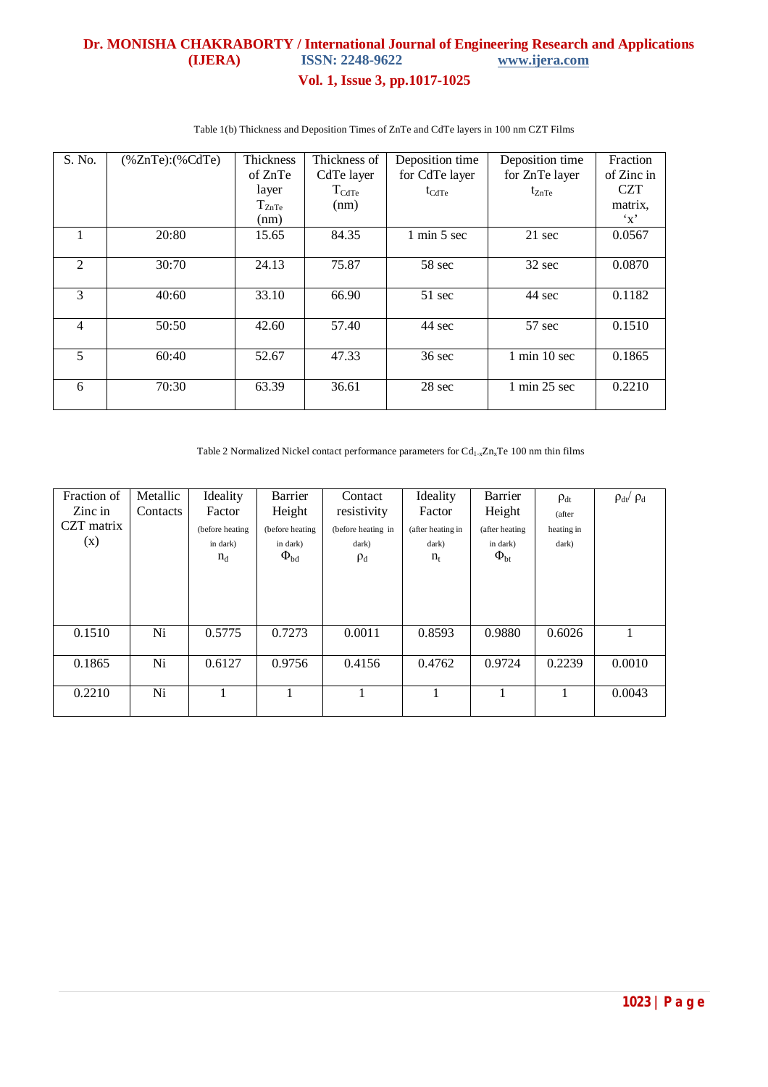# **Dr. MONISHA CHAKRABORTY / International Journal of Engineering Research and Applications (IJERA)** ISSN: 2248-9622 www.ijera.com **(IJERA)** ISSN: 2248-9622 **Vol. 1, Issue 3, pp.1017-1025**

| S. No.         | $%ZnTe$ : $%CdTe$ | <b>Thickness</b> | Thickness of        | Deposition time                | Deposition time                 | Fraction             |
|----------------|-------------------|------------------|---------------------|--------------------------------|---------------------------------|----------------------|
|                |                   | of ZnTe          | CdTe layer          | for CdTe layer                 | for ZnTe layer                  | of Zinc in           |
|                |                   | layer            | $T_{\mathrm{CdTe}}$ | $t_{\text{CdTe}}$              | $t_{ZnTe}$                      | <b>CZT</b>           |
|                |                   | $T_{ZnTe}$       | (nm)                |                                |                                 | matrix.              |
|                |                   | (nm)             |                     |                                |                                 | $\cdot_{\mathbf{x}}$ |
|                | 20:80             | 15.65            | 84.35               | $1 \text{ min } 5 \text{ sec}$ | 21 sec                          | 0.0567               |
|                |                   |                  |                     |                                |                                 |                      |
| $\overline{2}$ | 30:70             | 24.13            | 75.87               | 58 sec                         | 32 sec                          | 0.0870               |
|                |                   |                  |                     |                                |                                 |                      |
| 3              | 40:60             | 33.10            | 66.90               | 51 sec                         | 44 sec                          | 0.1182               |
|                |                   |                  |                     |                                |                                 |                      |
| $\overline{4}$ | 50:50             | 42.60            | 57.40               | 44 sec                         | 57 sec                          | 0.1510               |
|                |                   |                  |                     |                                |                                 |                      |
| 5              | 60:40             | 52.67            | 47.33               | $36 \text{ sec}$               | $1$ min $10$ sec                | 0.1865               |
|                |                   |                  |                     |                                |                                 |                      |
| 6              | 70:30             | 63.39            | 36.61               | 28 sec                         | $1 \text{ min } 25 \text{ sec}$ | 0.2210               |
|                |                   |                  |                     |                                |                                 |                      |

Table 1(b) Thickness and Deposition Times of ZnTe and CdTe layers in 100 nm CZT Films

Table 2 Normalized Nickel contact performance parameters for  $Cd_{1-x}Zn_xTe$  100 nm thin films

| Fraction of | Metallic | Ideality        | Barrier         | Contact            | Ideality          | Barrier         | $\rho_{dt}$ | $\rho_{dt}/\rho_{d}$ |
|-------------|----------|-----------------|-----------------|--------------------|-------------------|-----------------|-------------|----------------------|
| Zinc in     | Contacts | Factor          | Height          | resistivity        | Factor            | Height          | (after      |                      |
| CZT matrix  |          | (before heating | (before heating | (before heating in | (after heating in | (after heating  | heating in  |                      |
| (x)         |          | in dark)        | in dark)        | dark)              | dark)             | in dark)        | dark)       |                      |
|             |          | $n_d$           | $\Phi_{\rm bd}$ | $\rho_d$           | $n_{t}$           | $\Phi_{\rm bt}$ |             |                      |
|             |          |                 |                 |                    |                   |                 |             |                      |
|             |          |                 |                 |                    |                   |                 |             |                      |
|             |          |                 |                 |                    |                   |                 |             |                      |
|             |          |                 |                 |                    |                   |                 |             |                      |
| 0.1510      | Ni       | 0.5775          | 0.7273          | 0.0011             | 0.8593            | 0.9880          | 0.6026      |                      |
|             |          |                 |                 |                    |                   |                 |             |                      |
| 0.1865      | Ni       | 0.6127          | 0.9756          | 0.4156             | 0.4762            | 0.9724          | 0.2239      | 0.0010               |
|             |          |                 |                 |                    |                   |                 |             |                      |
| 0.2210      | Ni       |                 |                 |                    |                   |                 |             | 0.0043               |
|             |          |                 |                 |                    |                   |                 |             |                      |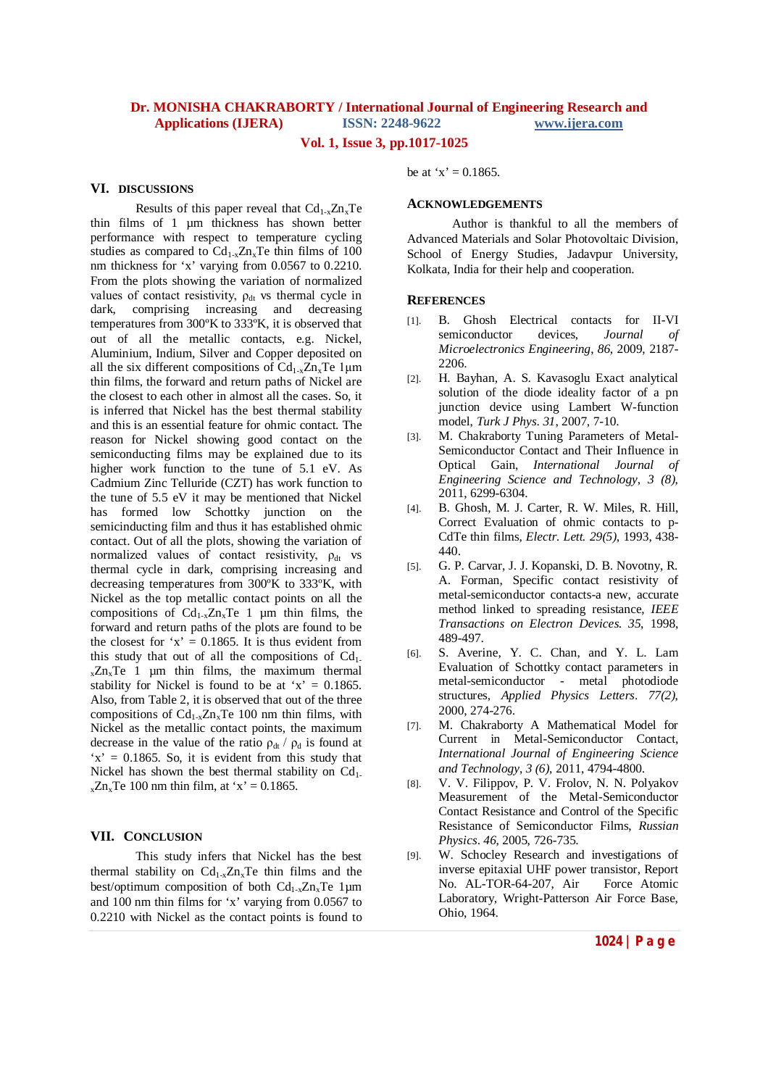## **Vol. 1, Issue 3, pp.1017-1025**

### **VI. DISCUSSIONS**

Results of this paper reveal that  $Cd_{1-x}Zn_xTe$ thin films of 1 µm thickness has shown better performance with respect to temperature cycling studies as compared to  $Cd_{1-x}Zn_xTe$  thin films of 100 nm thickness for 'x' varying from 0.0567 to 0.2210. From the plots showing the variation of normalized values of contact resistivity,  $\rho_{dt}$  vs thermal cycle in dark, comprising increasing and decreasing temperatures from 300ºK to 333ºK, it is observed that out of all the metallic contacts, e.g. Nickel, Aluminium, Indium, Silver and Copper deposited on all the six different compositions of  $Cd_{1-x}Zn_xTe$  1µm thin films, the forward and return paths of Nickel are the closest to each other in almost all the cases. So, it is inferred that Nickel has the best thermal stability and this is an essential feature for ohmic contact. The reason for Nickel showing good contact on the semiconducting films may be explained due to its higher work function to the tune of 5.1 eV. As Cadmium Zinc Telluride (CZT) has work function to the tune of 5.5 eV it may be mentioned that Nickel has formed low Schottky junction on the semicinducting film and thus it has established ohmic contact. Out of all the plots, showing the variation of normalized values of contact resistivity,  $\rho_{dt}$  vs thermal cycle in dark, comprising increasing and decreasing temperatures from 300ºK to 333ºK, with Nickel as the top metallic contact points on all the compositions of  $Cd_{1-x}Zn_xTe$  1 µm thin films, the forward and return paths of the plots are found to be the closest for 'x' =  $0.1865$ . It is thus evident from this study that out of all the compositions of  $Cd<sub>1</sub>$ .  $_{x}Zn_{x}Te$  1 µm thin films, the maximum thermal stability for Nickel is found to be at 'x' =  $0.1865$ . Also, from Table 2, it is observed that out of the three compositions of  $Cd_{1-x}Zn_xTe$  100 nm thin films, with Nickel as the metallic contact points, the maximum decrease in the value of the ratio  $\rho_{dt}/\rho_d$  is found at  $x' = 0.1865$ . So, it is evident from this study that Nickel has shown the best thermal stability on  $Cd<sub>1</sub>$ .  $_{x}Zn_{x}Te$  100 nm thin film, at 'x' = 0.1865.

### **VII. CONCLUSION**

This study infers that Nickel has the best thermal stability on  $Cd_{1-x}Zn_xTe$  thin films and the best/optimum composition of both  $Cd_{1-x}Zn_xTe$  1µm and 100 nm thin films for 'x' varying from 0.0567 to 0.2210 with Nickel as the contact points is found to

be at 'x' =  $0.1865$ .

### **ACKNOWLEDGEMENTS**

Author is thankful to all the members of Advanced Materials and Solar Photovoltaic Division, School of Energy Studies, Jadavpur University, Kolkata, India for their help and cooperation.

### **REFERENCES**

- [1]. B. Ghosh Electrical contacts for II-VI semiconductor devices. *Journal of* semiconductor devices, *Journal of Microelectronics Engineering*, *86*, 2009, 2187- 2206.
- [2]. H. Bayhan, A. S. Kavasoglu Exact analytical solution of the diode ideality factor of a pn junction device using Lambert W-function model, *Turk J Phys*. *31*, 2007, 7-10.
- [3]. M. Chakraborty Tuning Parameters of Metal-Semiconductor Contact and Their Influence in Optical Gain, *International Journal of Engineering Science and Technology*, *3 (8)*, 2011, 6299-6304.
- [4]. B. Ghosh, M. J. Carter, R. W. Miles, R. Hill, Correct Evaluation of ohmic contacts to p-CdTe thin films, *Electr. Lett. 29(5)*, 1993, 438- 440.
- [5]. G. P. Carvar, J. J. Kopanski, D. B. Novotny, R. A. Forman, Specific contact resistivity of metal-semiconductor contacts-a new, accurate method linked to spreading resistance, *IEEE Transactions on Electron Devices*. *35*, 1998, 489-497.
- [6]. S. Averine, Y. C. Chan, and Y. L. Lam Evaluation of Schottky contact parameters in metal-semiconductor - metal photodiode structures, *Applied Physics Letters*. *77(2)*, 2000, 274-276.
- [7]. M. Chakraborty A Mathematical Model for Current in Metal-Semiconductor Contact, *International Journal of Engineering Science and Technology*, *3 (6)*, 2011, 4794-4800.
- [8]. V. V. Filippov, P. V. Frolov, N. N. Polyakov Measurement of the Metal-Semiconductor Contact Resistance and Control of the Specific Resistance of Semiconductor Films, *Russian Physics*. *46*, 2005, 726-735.
- [9]. W. Schocley Research and investigations of inverse epitaxial UHF power transistor, Report No. AL-TOR-64-207, Air Force Atomic Laboratory, Wright-Patterson Air Force Base, Ohio, 1964.